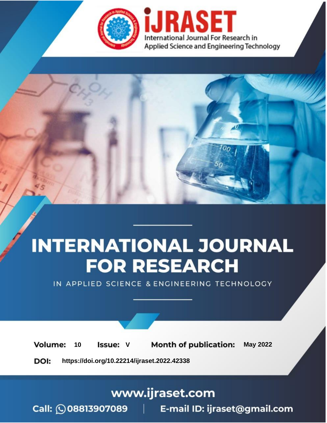

# **INTERNATIONAL JOURNAL FOR RESEARCH**

IN APPLIED SCIENCE & ENGINEERING TECHNOLOGY

Volume: **Month of publication: May 2022** 10 **Issue: V** 

DOI: https://doi.org/10.22214/ijraset.2022.42338

www.ijraset.com

Call: 008813907089 | E-mail ID: ijraset@gmail.com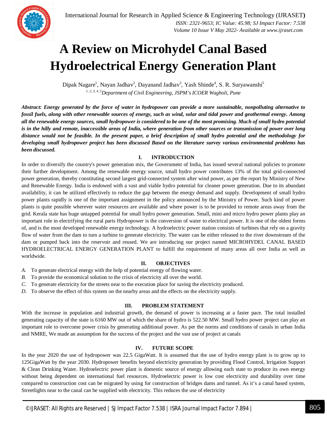### **A Review on Microhydel Canal Based Hydroelectrical Energy Generation Plant**

Dipak Nagare<sup>1</sup>, Nayan Jadhav<sup>2</sup>, Dayanand Jadhav<sup>3</sup>, Yash Shinde<sup>4</sup>, S. R. Suryawanshi<sup>5</sup> *1, 2, 3, 4, 5Department of Civil Engineering, JSPM's ICOER Wagholi, Pune*

*Abstract: Energy generated by the force of water in hydropower can provide a more sustainable, nonpolluting alternative to fossil fuels, along with other renewable sources of energy, such as wind, solar and tidal power and geothermal energy. Among all the renewable energy sources, small hydropower is considered to be one of the most promising. Much of small hydro potential is in the hilly and remote, inaccessible areas of India, where generation from other sources or transmission of power over long distance would not be feasible. In the present paper, a brief description of small hydro potential and the methodology for developing small hydropower project has been discussed Based on the literature survey various environmental problems has been discussed.*

#### **I. INTRODUCTION**

In order to diversify the country's power generation mix, the Government of India, has issued several national policies to promote their further development. Among the renewable energy source, small hydro power contributes 13% of the total grid-connected power generation, thereby constituting second largest grid-connected system after wind power, as per the report by Ministry of New and Renewable Energy. India is endowed with a vast and viable hydro potential for cleaner power generation. Due to its abundant availability, it can be utilized effectively to reduce the gap between the energy demand and supply. Development of small hydro power plants rapidly is one of the important assignment in the policy announced by the Ministry of Power. Such kind of power plants is quite possible wherever water resources are available and where power is to be provided to remote areas away from the grid. Kerala state has huge untapped potential for small hydro power generation. Small, mini and micro hydro power plants play an important role in electrifying the rural parts Hydropower is the conversion of water to electrical power. It is one of the oldest forms of, and is the most developed renewable energy technology. A hydroelectric power station consists of turbines that rely on a gravity flow of water from the dam to turn a turbine to generate electricity. The water can be either released to the river downstream of the dam or pumped back into the reservoir and reused. We are introducing our project named MICROHYDEL CANAL BASED HYDROELECTRICAL ENERGY GENERATION PLANT to fulfill the requirement of many areas all over India as well as worldwide.

#### **II. OBJECTIVES**

- *A.* To generate electrical energy with the help of potential energy of flowing water.
- *B.* To provide the economical solution to the crisis of electricity all over the world.
- *C.* To generate electricity for the streets near to the execution place for saving the electricity produced.
- *D.* To observe the effect of this system on the nearby areas and the effects on the electricity supply.

#### **III. PROBLEM STATEMENT**

With the increase in population and industrial growth, the demand of power is increasing at a faster pace. The total installed generating capacity of the state is 6160 MW out of which the share of hydro is 522.50 MW. Small hydro power project can play an important role to overcome power crisis by generating additional power. As per the norms and conditions of canals in urban India and NMRE, We made an assumption for the success of the project and the vast use of project at canals

#### **IV. FUTURE SCOPE**

In the year 2020 the use of hydropower was 22.5 GigaWatt. It is assumed that the use of hydro energy plant is to grow up to 125GigaWatt by the year 2030. Hydropower benefits beyond electricity generation by providing Flood Control, Irrigation Support & Clean Drinking Water. Hydroelectric power plant is domestic source of energy allowing each state to produce its own energy without being dependent on international fuel resources. Hydroelectric power is low cost electricity and durability over time compared to construction cost can be migrated by using for construction of bridges dams and tunnel. As it's a canal based system, Streetlights near to the canal can be supplied with electricity. This reduces the use of electricity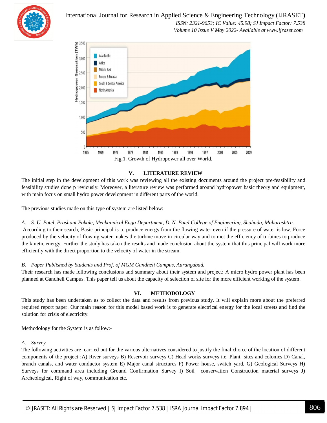

International Journal for Research in Applied Science & Engineering Technology (IJRASET**)**

 *ISSN: 2321-9653; IC Value: 45.98; SJ Impact Factor: 7.538 Volume 10 Issue V May 2022- Available at www.ijraset.com*



#### **V. LITERATURE REVIEW**

The initial step in the development of this work was reviewing all the existing documents around the project pre-feasibility and feasibility studies done p reviously. Moreover, a literature review was performed around hydropower basic theory and equipment, with main focus on small hydro power development in different parts of the world.

The previous studies made on this type of system are listed below:

#### *A. S. U. Patel, Prashant Pakale, Mechannical Engg Department, D. N. Patel College of Engineering, Shahada, Maharashtra.*

According to their search, Basic principal is to produce energy from the flowing water even if the pressure of water is low. Force produced by the velocity of flowing water makes the turbine move in circular way and to met the efficiency of turbines to produce the kinetic energy. Further the study has taken the results and made conclusion about the system that this principal will work more efficiently with the direct proportion to the velocity of water in the stream.

#### *B. Paper Published by Students and Prof. of MGM Gandheli Campus, Aurangabad.*

Their research has made following conclusions and summary about their system and project: A micro hydro power plant has been planned at Gandheli Campus. This paper tell us about the capacity of selection of site for the more efficient working of the system.

#### **VI. METHODOLOGY**

This study has been undertaken as to collect the data and results from previous study. It will explain more about the preferred required report paper. Our main reason for this model based work is to generate electrical energy for the local streets and find the solution for crisis of electricity.

Methodology for the System is as follow:-

#### *A. Survey*

The following activities are carried out for the various alternatives considered to justify the final choice of the location of different components of the project :A) River surveys B) Reservoir surveys C) Head works surveys i.e. Plant sites and colonies D) Canal, branch canals, and water conductor system E) Major canal structures F) Power house, switch yard, G) Geological Surveys H) Surveys for command area including Ground Confirmation Survey I) Soil conservation Construction material surveys J) Archeological, Right of way, communication etc.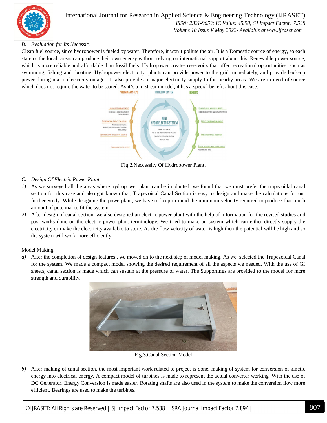

#### International Journal for Research in Applied Science & Engineering Technology (IJRASET**)**  *ISSN: 2321-9653; IC Value: 45.98; SJ Impact Factor: 7.538*

 *Volume 10 Issue V May 2022- Available at www.ijraset.com*

#### *B. Evaluation for Its Necessity*

Clean fuel source, since hydropower is fueled by water. Therefore, it won't pollute the air. It is a Domestic source of energy, so each state or the local areas can produce their own energy without relying on international support about this. Renewable power source, which is more reliable and affordable than fossil fuels. Hydropower creates reservoirs that offer recreational opportunities, such as swimming, fishing and boating. Hydropower electricity plants can provide power to the grid immediately, and provide back-up power during major electricity outages. It also provides a major electricity supply to the nearby areas. We are in need of source which does not require the water to be stored. As it's a in stream model, it has a special benefit about this case.



Fig.2.Neccessity Of Hydropower Plant.

- *C. Design Of Electric Power Plant*
- *1)* As we surveyed all the areas where hydropower plant can be implanted, we found that we must prefer the trapezoidal canal section for this case and also got known that, Trapezoidal Canal Section is easy to design and make the calculations for our further Study. While designing the powerplant, we have to keep in mind the minimum velocity required to produce that much amount of potential to fit the system.
- *2)* After design of canal section, we also designed an electric power plant with the help of information for the revised studies and past works done on the electric power plant terminology. We tried to make an system which can either directly supply the electricity or make the electricity available to store. As the flow velocity of water is high then the potential will be high and so the system will work more efficiently.

#### Model Making

*a)* After the completion of design features , we moved on to the next step of model making. As we selected the Trapezoidal Canal for the system, We made a compact model showing the desired requirement of all the aspects we needed. With the use of GI sheets, canal section is made which can sustain at the pressure of water. The Supportings are provided to the model for more strength and durability.



Fig.3.Canal Section Model

*b)* After making of canal section, the most important work related to project is done, making of system for conversion of kinetic energy into electrical energy. A compact model of turbines is made to represent the actual converter working. With the use of DC Generator, Energy Conversion is made easier. Rotating shafts are also used in the system to make the conversion flow more efficient. Bearings are used to make the turbines.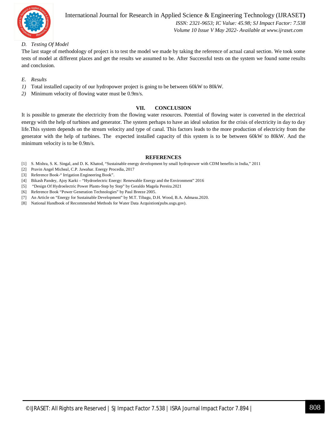

#### International Journal for Research in Applied Science & Engineering Technology (IJRASET**)**  *ISSN: 2321-9653; IC Value: 45.98; SJ Impact Factor: 7.538 Volume 10 Issue V May 2022- Available at www.ijraset.com*

#### *D. Testing Of Model*

The last stage of methodology of project is to test the model we made by taking the reference of actual canal section. We took some tests of model at different places and get the results we assumed to be. After Successful tests on the system we found some results and conclusion.

- *E. Results*
- *1)* Total installed capacity of our hydropower project is going to be between 60kW to 80kW.
- *2)* Minimum velocity of flowing water must be 0.9m/s.

#### **VII. CONCLUSION**

It is possible to generate the electricity from the flowing water resources. Potential of flowing water is converted in the electrical energy with the help of turbines and generator. The system perhaps to have an ideal solution for the crisis of electricity in day to day life.This system depends on the stream velocity and type of canal. This factors leads to the more production of electricity from the generator with the help of turbines. The expected installed capacity of this system is to be between 60kW to 80kW. And the minimum velocity is to be 0.9m/s.

#### **REFERENCES**

- [1] S. Mishra, S. K. Singal, and D. K. Khatod, "Sustainable energy development by small hydropower with CDM benefits in India," 2011
- [2] Pravin Angel Micheal, C.P. Jawahar. Energy Procedia, 2017
- [3] Reference Book-" Irrigation Engineering Book".
- [4] Bikash Pandey, Ajoy Karki "Hydroelectric Energy: Renewable Energy and the Environment" 2016
- [5] "Design Of Hydroelectric Power Plants-Step by Step" by Geraldo Magela Pereira.2021
- [6] Reference Book "Power Generation Technologies" by Paul Breeze 2005.
- [7] An Article on "Energy for Sustainable Development" by M.T. Tibagu, D.H. Wood, B.A. Admasu.2020.
- [8] National Handbook of Recommended Methods for Water Data Acquistion(pubs.usgs.gov).